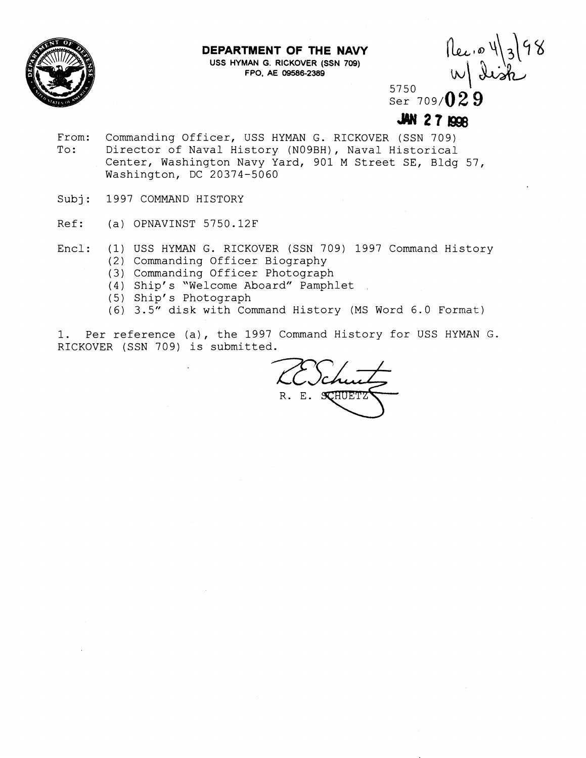

## **DEPARTMENT OF THE NAVY**

**USS HYMAN G. RICKOVER (SSN 709) FPO, AE 09586-2389** 

Rec. 0 4/3/98

5750 Ser 709/**029** 

- From: Commanding Officer, USS HYMAN G. RICKOVER (SSN 709)<br>To: Director of Naval History (N09BH), Naval Historical Director of Naval History (NO9BH), Naval Historical Center, Washington Navy Yard, 901 M Street SE, Bldg 57, Washington, DC 20374-5060
- Subj: 1997 COMMAND HISTORY
- Ref: (a) OPNAVINST 5750.12F
- Encl: (1) USS HYMAN G. RICKOVER (SSN 709) 1997 Command History
	- (2) Commanding Officer Biography
	- (3) Commanding Officer Photograph
	- (4) Ship's "Welcome Aboard" Pamphlet
	- (5) Ship's Photograph
	- (6) 3.5" disk with Command History (MS Word 6.0 Format)

1. Per reference (a), the 1997 Command History for USS HYMAN G. RICKOVER (SSN 709) is submitted.

R. E. SCHUETZ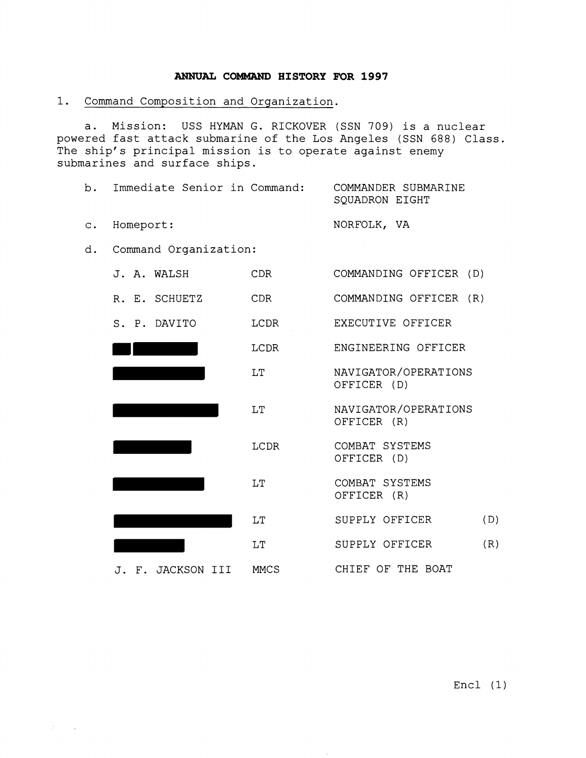## **ANNUAL COMMAND HISTORY FOR 1997**

1. Command Composition and Organization.

 $\mathcal{L}^{\text{max}}_{\text{max}}$ 

a. Mission: USS HYMAN G. RICKOVER (SSN 709) is a nuclear powered fast attack submarine of the Los Angeles (SSN 688) Class. The ship's principal mission is to operate against enemy submarines and surface ships.

| $b$ . | Immediate Senior in Command: |      | COMMANDER SUBMARINE<br>SQUADRON EIGHT |
|-------|------------------------------|------|---------------------------------------|
|       | c. Homeport:                 |      | NORFOLK, VA                           |
|       | d. Command Organization:     |      |                                       |
|       | J. A. WALSH                  | CDR. | COMMANDING OFFICER (D)                |

| R. E. SCHUETZ     | <b>CDR</b>  | COMMANDING OFFICER (R)              |
|-------------------|-------------|-------------------------------------|
| S. P. DAVITO      | LCDR        | EXECUTIVE OFFICER                   |
|                   | LCDR        | ENGINEERING OFFICER                 |
|                   | T.T         | NAVIGATOR/OPERATIONS<br>OFFICER (D) |
|                   | LT          | NAVIGATOR/OPERATIONS<br>OFFICER (R) |
|                   | <b>LCDR</b> | COMBAT SYSTEMS<br>OFFICER (D)       |
|                   | <b>LT</b>   | COMBAT SYSTEMS<br>OFFICER (R)       |
|                   | LT          | SUPPLY OFFICER<br>(D)               |
|                   | LT          | (R)<br>SUPPLY OFFICER               |
| J. F. JACKSON III | MMCS        | CHIEF OF THE BOAT                   |

Encl (1)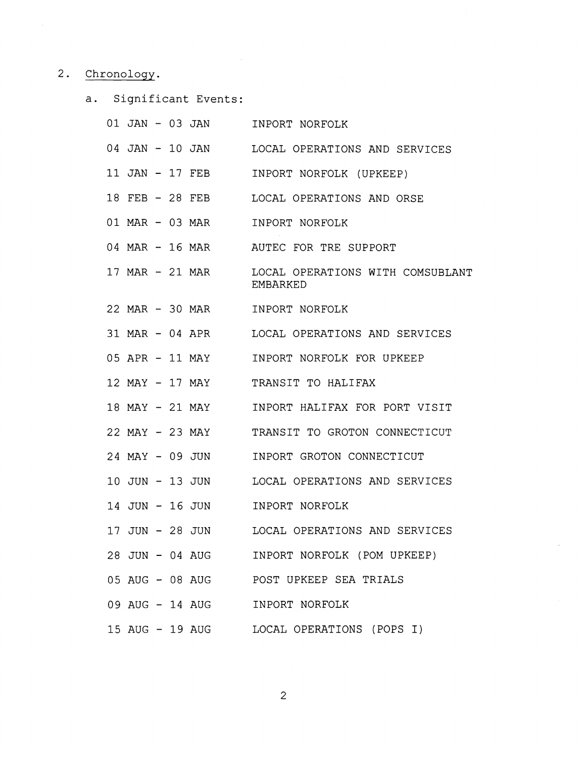## 2. Chronology.

a. Significant Events:

|  |  | 01 JAN - 03 JAN | INPORT NORFOLK                                      |
|--|--|-----------------|-----------------------------------------------------|
|  |  | 04 JAN - 10 JAN | LOCAL OPERATIONS AND SERVICES                       |
|  |  | 11 JAN - 17 FEB | INPORT NORFOLK (UPKEEP)                             |
|  |  | 18 FEB - 28 FEB | LOCAL OPERATIONS AND ORSE                           |
|  |  | 01 MAR - 03 MAR | INPORT NORFOLK                                      |
|  |  | 04 MAR - 16 MAR | AUTEC FOR TRE SUPPORT                               |
|  |  | 17 MAR - 21 MAR | LOCAL OPERATIONS WITH COMSUBLANT<br><b>EMBARKED</b> |
|  |  | 22 MAR - 30 MAR | INPORT NORFOLK                                      |
|  |  | 31 MAR - 04 APR | LOCAL OPERATIONS AND SERVICES                       |
|  |  | 05 APR - 11 MAY | INPORT NORFOLK FOR UPKEEP                           |
|  |  | 12 MAY - 17 MAY | TRANSIT TO HALIFAX                                  |
|  |  | 18 MAY - 21 MAY | INPORT HALIFAX FOR PORT VISIT                       |
|  |  | 22 MAY - 23 MAY | TRANSIT TO GROTON CONNECTICUT                       |
|  |  | 24 MAY - 09 JUN | INPORT GROTON CONNECTICUT                           |
|  |  | 10 JUN – 13 JUN | LOCAL OPERATIONS AND SERVICES                       |
|  |  | 14 JUN – 16 JUN | INPORT NORFOLK                                      |
|  |  | 17 JUN – 28 JUN | LOCAL OPERATIONS AND SERVICES                       |
|  |  | 28 JUN - 04 AUG | INPORT NORFOLK (POM UPKEEP)                         |
|  |  | 05 AUG - 08 AUG | POST UPKEEP SEA TRIALS                              |
|  |  | 09 AUG - 14 AUG | INPORT NORFOLK                                      |
|  |  | 15 AUG - 19 AUG | LOCAL OPERATIONS (POPS I)                           |

 $\overline{c}$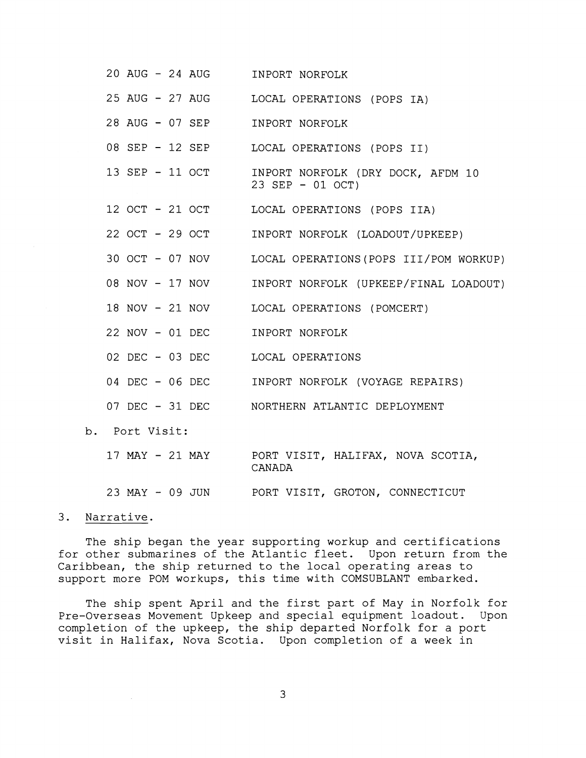| 20 AUG - 24 AUG                  | INPORT NORFOLK                                              |
|----------------------------------|-------------------------------------------------------------|
|                                  | 25 AUG - 27 AUG LOCAL OPERATIONS (POPS IA)                  |
| 28 AUG - 07 SEP                  | INPORT NORFOLK                                              |
| 08 SEP - 12 SEP                  | LOCAL OPERATIONS (POPS II)                                  |
| 13 SEP - 11 OCT                  | INPORT NORFOLK (DRY DOCK, AFDM 10<br>23 SEP - 01 OCT)       |
|                                  | 12 OCT - 21 OCT LOCAL OPERATIONS (POPS IIA)                 |
| 22 OCT - 29 OCT                  | INPORT NORFOLK (LOADOUT/UPKEEP)                             |
| 30 OCT - 07 NOV                  | LOCAL OPERATIONS (POPS III/POM WORKUP)                      |
| 08 NOV - 17 NOV                  | INPORT NORFOLK (UPKEEP/FINAL LOADOUT)                       |
| 18 NOV - 21 NOV                  | LOCAL OPERATIONS (POMCERT)                                  |
| 22 NOV - 01 DEC                  | INPORT NORFOLK                                              |
| 02 DEC - 03 DEC LOCAL OPERATIONS |                                                             |
|                                  | 04 DEC - 06 DEC INPORT NORFOLK (VOYAGE REPAIRS)             |
|                                  | 07 DEC - 31 DEC NORTHERN ATLANTIC DEPLOYMENT                |
| b. Port Visit:                   |                                                             |
|                                  | 17 MAY - 21 MAY PORT VISIT, HALIFAX, NOVA SCOTIA,<br>CANADA |
| 23 MAY - 09 JUN                  | PORT VISIT, GROTON, CONNECTICUT                             |

3. Narrative.

The ship began the year supporting workup and certifications for other submarines of the Atlantic fleet. Upon return from the Caribbean, the ship returned to the local operating areas to support more POM workups, this time with COMSUBLANT embarked.

The ship spent April and the first part of May in Norfolk for Pre-Overseas Movement Upkeep and special equipment loadout. Upon completion of the upkeep, the ship departed Norfolk for a port visit in Halifax, Nova Scotia. Upon completion of a week in